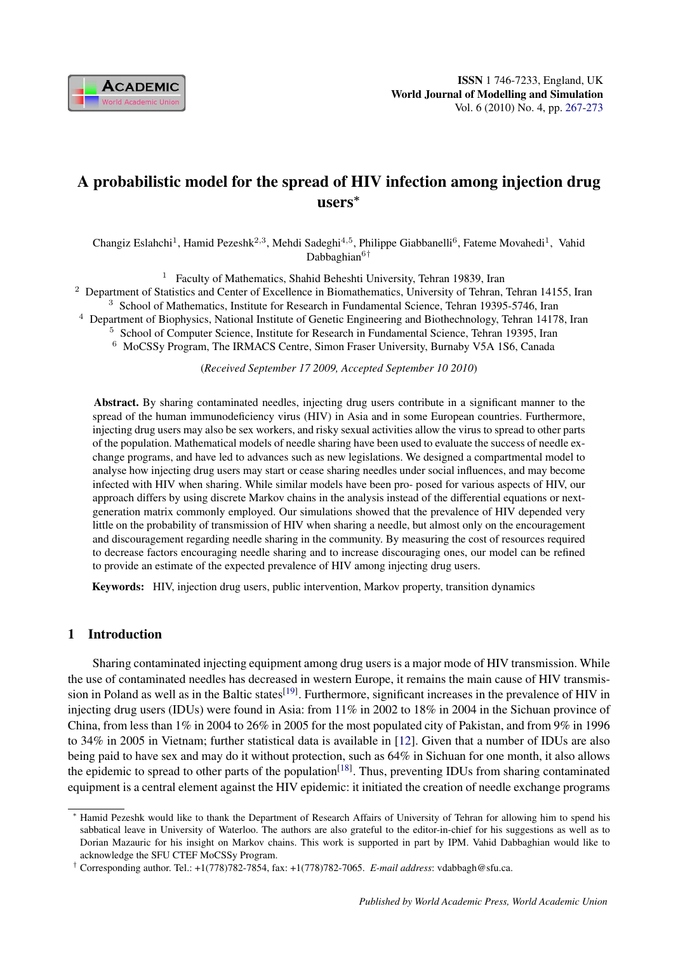

# A probabilistic model for the spread of HIV infection among injection drug users<sup>∗</sup>

Changiz Eslahchi<sup>1</sup>, Hamid Pezeshk<sup>2,3</sup>, Mehdi Sadeghi<sup>4,5</sup>, Philippe Giabbanelli<sup>6</sup>, Fateme Movahedi<sup>1</sup>, Vahid Dabbaghian<sup>6†</sup>

<sup>1</sup> Faculty of Mathematics, Shahid Beheshti University, Tehran 19839, Iran

<sup>2</sup> Department of Statistics and Center of Excellence in Biomathematics, University of Tehran, Tehran 14155, Iran

<sup>3</sup> School of Mathematics, Institute for Research in Fundamental Science, Tehran 19395-5746, Iran

<sup>4</sup> Department of Biophysics, National Institute of Genetic Engineering and Biothechnology, Tehran 14178, Iran

<sup>5</sup> School of Computer Science, Institute for Research in Fundamental Science, Tehran 19395, Iran

<sup>6</sup> MoCSSy Program, The IRMACS Centre, Simon Fraser University, Burnaby V5A 1S6, Canada

(*Received September 17 2009, Accepted September 10 2010*)

Abstract. By sharing contaminated needles, injecting drug users contribute in a significant manner to the spread of the human immunodeficiency virus (HIV) in Asia and in some European countries. Furthermore, injecting drug users may also be sex workers, and risky sexual activities allow the virus to spread to other parts of the population. Mathematical models of needle sharing have been used to evaluate the success of needle exchange programs, and have led to advances such as new legislations. We designed a compartmental model to analyse how injecting drug users may start or cease sharing needles under social influences, and may become infected with HIV when sharing. While similar models have been pro- posed for various aspects of HIV, our approach differs by using discrete Markov chains in the analysis instead of the differential equations or nextgeneration matrix commonly employed. Our simulations showed that the prevalence of HIV depended very little on the probability of transmission of HIV when sharing a needle, but almost only on the encouragement and discouragement regarding needle sharing in the community. By measuring the cost of resources required to decrease factors encouraging needle sharing and to increase discouraging ones, our model can be refined to provide an estimate of the expected prevalence of HIV among injecting drug users.

Keywords: HIV, injection drug users, public intervention, Markov property, transition dynamics

## 1 Introduction

Sharing contaminated injecting equipment among drug users is a major mode of HIV transmission. While the use of contaminated needles has decreased in western Europe, it remains the main cause of HIV transmission in Poland as well as in the Baltic states<sup>[19]</sup>. Furthermore, significant increases in the prevalence of HIV in injecting drug users (IDUs) were found in Asia: from 11% in 2002 to 18% in 2004 in the Sichuan province of China, from less than 1% in 2004 to 26% in 2005 for the most populated city of Pakistan, and from 9% in 1996 to 34% in 2005 in Vietnam; further statistical data is available in [12]. Given that a number of IDUs are also being paid to have sex and may do it without protection, such as 64% in Sichuan for one month, it also allows the epidemic to spread to other parts of the population<sup>[18]</sup>. Thus, preventing IDUs from sharing contaminated equipment is a central element against the HIV epidemic: it initiated the creation of needle exchange programs

Hamid Pezeshk would like to thank the Department of Research Affairs of University of Tehran for allowing him to spend his sabbatical leave in University of Waterloo. The authors are also grateful to the editor-in-chief for his suggestions as well as to Dorian Mazauric for his insight on Markov chains. This work is supported in part by IPM. Vahid Dabbaghian would like to acknowledge the SFU CTEF MoCSSy Program.

<sup>†</sup> Corresponding author. Tel.: +1(778)782-7854, fax: +1(778)782-7065. *E-mail address*: vdabbagh@sfu.ca.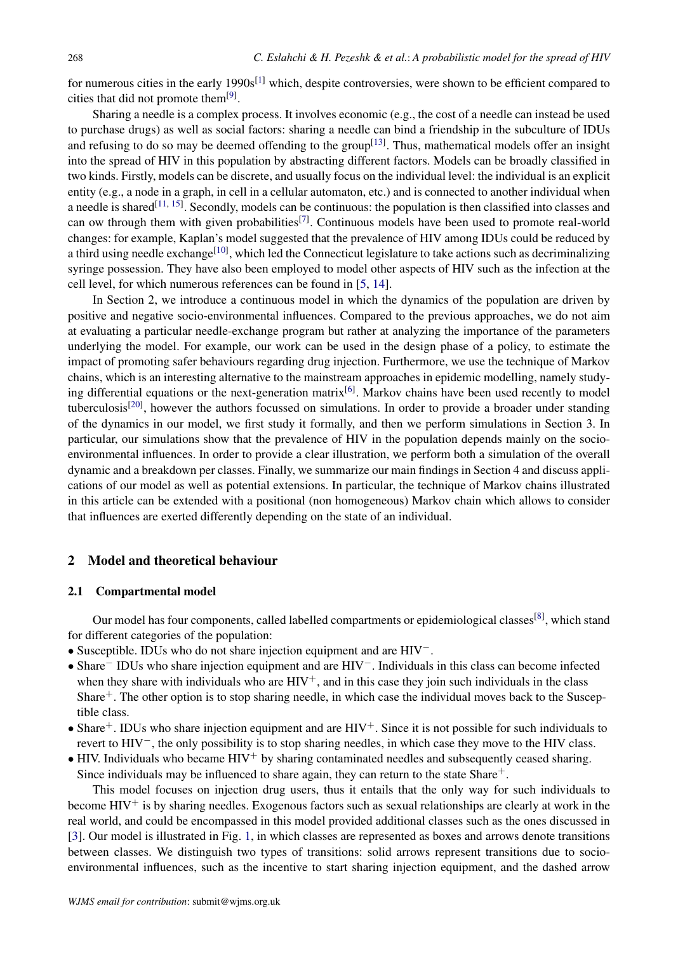for numerous cities in the early 1990s<sup>[1]</sup> which, despite controversies, were shown to be efficient compared to cities that did not promote them<sup>[9]</sup>.

Sharing a needle is a complex process. It involves economic (e.g., the cost of a needle can instead be used to purchase drugs) as well as social factors: sharing a needle can bind a friendship in the subculture of IDUs and refusing to do so may be deemed offending to the group<sup>[13]</sup>. Thus, mathematical models offer an insight into the spread of HIV in this population by abstracting different factors. Models can be broadly classified in two kinds. Firstly, models can be discrete, and usually focus on the individual level: the individual is an explicit entity (e.g., a node in a graph, in cell in a cellular automaton, etc.) and is connected to another individual when a needle is shared<sup>[11, 15]</sup>. Secondly, models can be continuous: the population is then classified into classes and can ow through them with given probabilities<sup>[7]</sup>. Continuous models have been used to promote real-world changes: for example, Kaplan's model suggested that the prevalence of HIV among IDUs could be reduced by a third using needle exchange<sup>[10]</sup>, which led the Connecticut legislature to take actions such as decriminalizing syringe possession. They have also been employed to model other aspects of HIV such as the infection at the cell level, for which numerous references can be found in [5, 14].

In Section 2, we introduce a continuous model in which the dynamics of the population are driven by positive and negative socio-environmental influences. Compared to the previous approaches, we do not aim at evaluating a particular needle-exchange program but rather at analyzing the importance of the parameters underlying the model. For example, our work can be used in the design phase of a policy, to estimate the impact of promoting safer behaviours regarding drug injection. Furthermore, we use the technique of Markov chains, which is an interesting alternative to the mainstream approaches in epidemic modelling, namely studying differential equations or the next-generation matrix<sup>[6]</sup>. Markov chains have been used recently to model tuberculosis<sup>[20]</sup>, however the authors focussed on simulations. In order to provide a broader under standing of the dynamics in our model, we first study it formally, and then we perform simulations in Section 3. In particular, our simulations show that the prevalence of HIV in the population depends mainly on the socioenvironmental influences. In order to provide a clear illustration, we perform both a simulation of the overall dynamic and a breakdown per classes. Finally, we summarize our main findings in Section 4 and discuss applications of our model as well as potential extensions. In particular, the technique of Markov chains illustrated in this article can be extended with a positional (non homogeneous) Markov chain which allows to consider that influences are exerted differently depending on the state of an individual.

### 2 Model and theoretical behaviour

#### 2.1 Compartmental model

Our model has four components, called labelled compartments or epidemiological classes<sup>[8]</sup>, which stand for different categories of the population:

- Susceptible. IDUs who do not share injection equipment and are HIV−.
- Share<sup>−</sup> IDUs who share injection equipment and are HIV−. Individuals in this class can become infected when they share with individuals who are  $HIV^+$ , and in this case they join such individuals in the class Share<sup>+</sup>. The other option is to stop sharing needle, in which case the individual moves back to the Susceptible class.
- Share<sup>+</sup>. IDUs who share injection equipment and are  $HIV^+$ . Since it is not possible for such individuals to revert to HIV−, the only possibility is to stop sharing needles, in which case they move to the HIV class.
- $\bullet$  HIV. Individuals who became HIV<sup>+</sup> by sharing contaminated needles and subsequently ceased sharing. Since individuals may be influenced to share again, they can return to the state Share $+$ .

This model focuses on injection drug users, thus it entails that the only way for such individuals to become  $HIV^+$  is by sharing needles. Exogenous factors such as sexual relationships are clearly at work in the real world, and could be encompassed in this model provided additional classes such as the ones discussed in [3]. Our model is illustrated in Fig. 1, in which classes are represented as boxes and arrows denote transitions between classes. We distinguish two types of transitions: solid arrows represent transitions due to socioenvironmental influences, such as the incentive to start sharing injection equipment, and the dashed arrow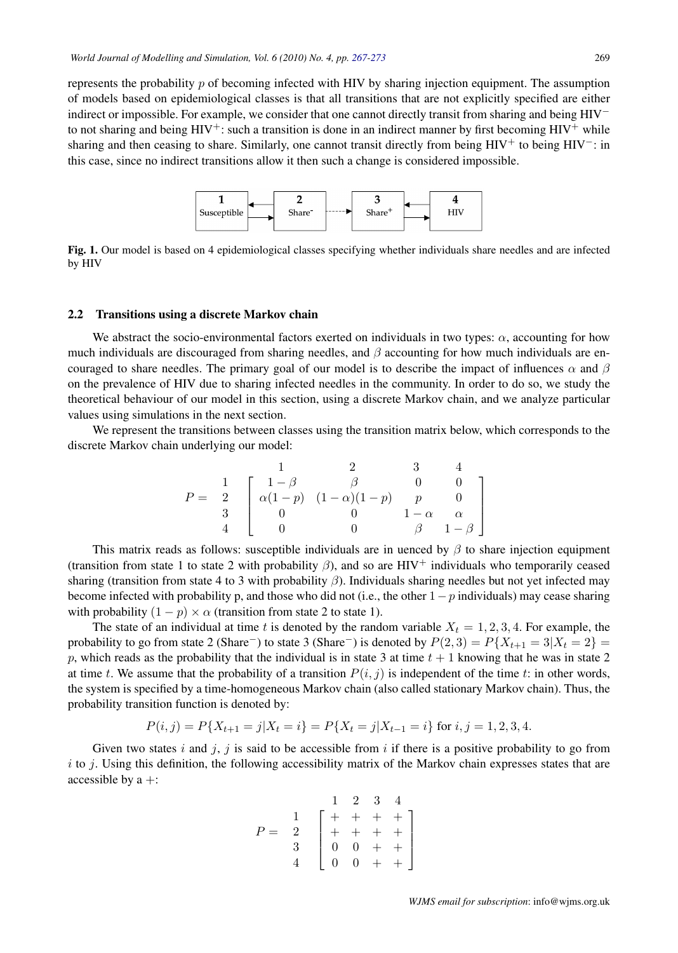represents the probability  $p$  of becoming infected with HIV by sharing injection equipment. The assumption of models based on epidemiological classes is that all transitions that are not explicitly specified are either indirect or impossible. For example, we consider that one cannot directly transit from sharing and being HIV<sup>−</sup> to not sharing and being  $HIV^+$ : such a transition is done in an indirect manner by first becoming  $HIV^+$  while sharing and then ceasing to share. Similarly, one cannot transit directly from being HIV<sup>+</sup> to being HIV<sup>-</sup>: in this case, since no indirect transitions allow it then such a change is considered impossible.



Fig. 1. Our model is based on 4 epidemiological classes specifying whether individuals share needles and are infected by HIV

# 2.2 Transitions using a discrete Markov chain

We abstract the socio-environmental factors exerted on individuals in two types:  $\alpha$ , accounting for how  $\frac{1}{2}$ much individuals are discouraged from sharing needles, and β accounting for how much individuals are encouraged to share needles. The primary goal of our model is to describe the impact of influences  $\alpha$  and  $\beta$ on the prevalence of HIV due to sharing infected needles in the community. In order to do so, we study the theoretical behaviour of our model in this section, using a discrete Markov chain, and we analyze particular the next section.<br>The next section of the next section. values using simulations in the next section.

We represent the transitions between classes using the transition matrix below, which corresponds to the 1 2 3 4 discrete Markov chain underlying our model:

$$
P = \begin{array}{c c c c c c c c c} & & 1 & 2 & 3 & 4 \\ 1 & -\beta & \beta & 0 & 0 \\ 2 & \alpha(1-p) & (1-\alpha)(1-p) & p & 0 \\ 3 & 0 & 0 & 1-\alpha & \alpha \\ 4 & 0 & 0 & \beta & 1-\beta \end{array}
$$

share injection equipment (transition from state 1 to state 2 with probability β), This matrix reads as follows: susceptible individuals are in uenced by  $\beta$  to share injection equipment (transition from state 1 to state 2 with probability  $\beta$ ), and so are HIV<sup>+</sup> individuals who temporarily ceased sharing (transition from state 4 to 3 with probability  $\beta$ ). Individuals sharing needles but not yet infected may  $1$   $\alpha$  individuals) may cease sharing with probability (1  $\beta$ )  $\beta$   $\beta$   $\gamma$  and  $\beta$  and  $\gamma$  p)  $\alpha$  (transitional  $\alpha$  (transitional  $\alpha$ )  $\gamma$ become infected with probability p, and those who did not (i.e., the other  $1-p$  individuals) may cease sharing with probability  $(1 - p) \times \alpha$  (transition from state 2 to state 1).

The state of an individual at time t is denoted by the random variable  $X_t = 1, 2, 3, 4$ . For example, the probability to go from state 2 (Share<sup>-</sup>) to state 3 (Share<sup>-</sup>) is denoted by  $P(2, 3) = P{X_{t+1} = 3 | X_t = 2}$  = reads as the probability that the individual is individual is in state 3 at time the individual is in the individual is in the individual is in the individual is in the individual is in the individual individual in the in p, which reads as the probability that the individual is in state 3 at time  $t + 1$  knowing that he was in state 2 at time t. We assume that the probability of a transition  $P(i, j)$  is independent of the time t: in other words, the system is specified by a time-homogeneous Markov chain (also called stationary Markov chain). Thus, the probability transition function is denoted by:

$$
P(i,j) = P\{X_{t+1} = j | X_t = i\} = P\{X_t = j | X_{t-1} = i\} \text{ for } i, j = 1, 2, 3, 4.
$$

Given two states i and j, j is said to be accessible from i if there is a positive probability to go from  $i$  to j. Using this definition, the following accessibility matrix of the Markov chain expresses states that are accessible by  $a +$ :

$$
P = \begin{array}{c|ccc}\n & 1 & 2 & 3 & 4 \\
1 & + & + & + & + \\
2 & + & + & + & + \\
3 & 0 & 0 & + & + \\
4 & 0 & 0 & + & +\n\end{array}
$$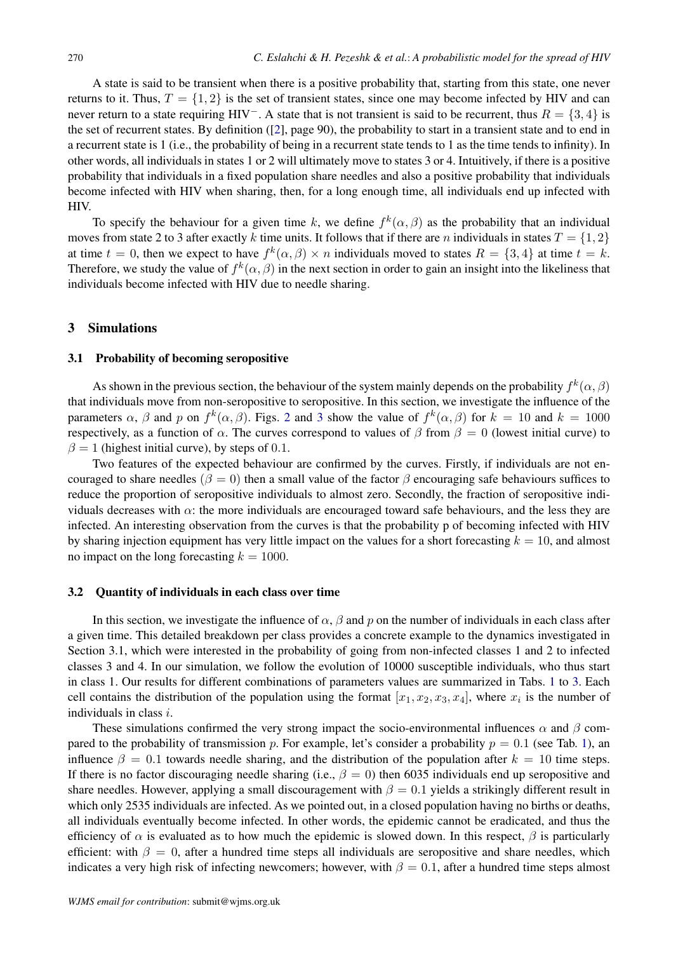A state is said to be transient when there is a positive probability that, starting from this state, one never returns to it. Thus,  $T = \{1, 2\}$  is the set of transient states, since one may become infected by HIV and can never return to a state requiring HIV<sup>−</sup>. A state that is not transient is said to be recurrent, thus  $R = \{3, 4\}$  is the set of recurrent states. By definition ([2], page 90), the probability to start in a transient state and to end in a recurrent state is 1 (i.e., the probability of being in a recurrent state tends to 1 as the time tends to infinity). In other words, all individuals in states 1 or 2 will ultimately move to states 3 or 4. Intuitively, if there is a positive probability that individuals in a fixed population share needles and also a positive probability that individuals become infected with HIV when sharing, then, for a long enough time, all individuals end up infected with HIV.

To specify the behaviour for a given time k, we define  $f^k(\alpha, \beta)$  as the probability that an individual moves from state 2 to 3 after exactly k time units. It follows that if there are n individuals in states  $T = \{1, 2\}$ at time  $t = 0$ , then we expect to have  $f^k(\alpha, \beta) \times n$  individuals moved to states  $R = \{3, 4\}$  at time  $t = k$ . Therefore, we study the value of  $f^k(\alpha, \beta)$  in the next section in order to gain an insight into the likeliness that individuals become infected with HIV due to needle sharing.

#### 3 Simulations

#### 3.1 Probability of becoming seropositive

As shown in the previous section, the behaviour of the system mainly depends on the probability  $f^k(\alpha, \beta)$ that individuals move from non-seropositive to seropositive. In this section, we investigate the influence of the parameters  $\alpha$ ,  $\beta$  and p on  $f^k(\alpha, \beta)$ . Figs. 2 and 3 show the value of  $f^k(\alpha, \beta)$  for  $k = 10$  and  $k = 1000$ respectively, as a function of  $\alpha$ . The curves correspond to values of  $\beta$  from  $\beta = 0$  (lowest initial curve) to  $\beta = 1$  (highest initial curve), by steps of 0.1.

Two features of the expected behaviour are confirmed by the curves. Firstly, if individuals are not encouraged to share needles ( $\beta = 0$ ) then a small value of the factor  $\beta$  encouraging safe behaviours suffices to reduce the proportion of seropositive individuals to almost zero. Secondly, the fraction of seropositive individuals decreases with  $\alpha$ : the more individuals are encouraged toward safe behaviours, and the less they are infected. An interesting observation from the curves is that the probability p of becoming infected with HIV by sharing injection equipment has very little impact on the values for a short forecasting  $k = 10$ , and almost no impact on the long forecasting  $k = 1000$ .

#### 3.2 Quantity of individuals in each class over time

In this section, we investigate the influence of  $\alpha$ ,  $\beta$  and p on the number of individuals in each class after a given time. This detailed breakdown per class provides a concrete example to the dynamics investigated in Section 3.1, which were interested in the probability of going from non-infected classes 1 and 2 to infected classes 3 and 4. In our simulation, we follow the evolution of 10000 susceptible individuals, who thus start in class 1. Our results for different combinations of parameters values are summarized in Tabs. 1 to 3. Each cell contains the distribution of the population using the format  $[x_1, x_2, x_3, x_4]$ , where  $x_i$  is the number of individuals in class i.

These simulations confirmed the very strong impact the socio-environmental influences  $\alpha$  and  $\beta$  compared to the probability of transmission p. For example, let's consider a probability  $p = 0.1$  (see Tab. 1), an influence  $\beta = 0.1$  towards needle sharing, and the distribution of the population after  $k = 10$  time steps. If there is no factor discouraging needle sharing (i.e.,  $\beta = 0$ ) then 6035 individuals end up seropositive and share needles. However, applying a small discouragement with  $\beta = 0.1$  yields a strikingly different result in which only 2535 individuals are infected. As we pointed out, in a closed population having no births or deaths, all individuals eventually become infected. In other words, the epidemic cannot be eradicated, and thus the efficiency of  $\alpha$  is evaluated as to how much the epidemic is slowed down. In this respect,  $\beta$  is particularly efficient: with  $\beta = 0$ , after a hundred time steps all individuals are seropositive and share needles, which indicates a very high risk of infecting newcomers; however, with  $\beta = 0.1$ , after a hundred time steps almost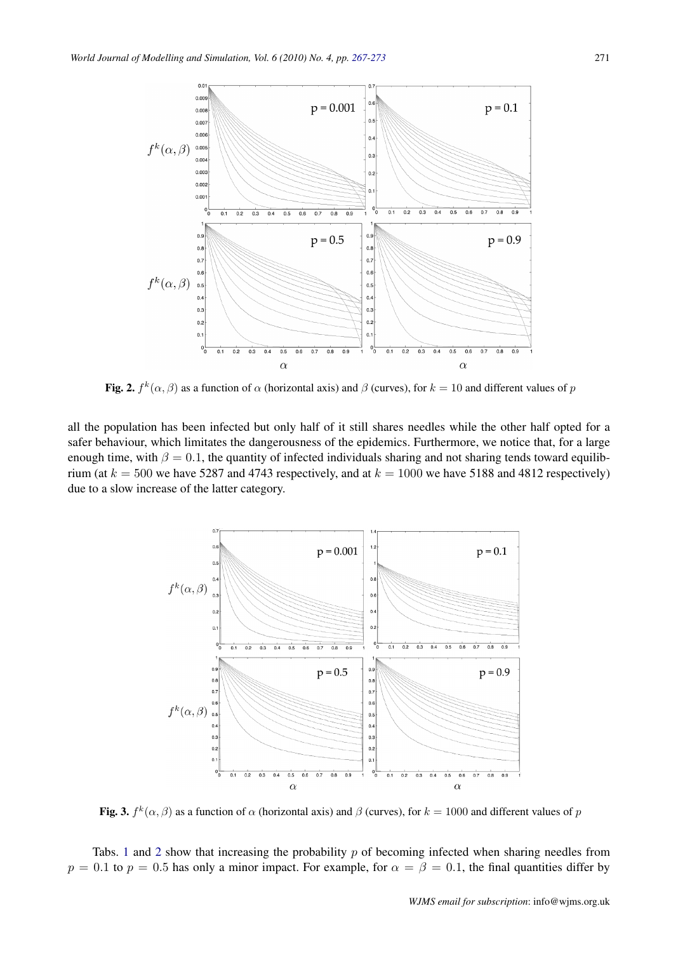

Fig. 2.  $f^k(\alpha, \beta)$  as a function of  $\alpha$  (horizontal axis) and  $\beta$  (curves), for  $k = 10$  and different values of  $p$ 

safer behaviour, which limitates the dangerousness of the epidemics. Furthermore, we notice that, for a large enough time, with  $\beta = 0.1$ , the quantity of infected individuals sharing and not sharing tends toward equilibrium (at  $k = 500$  we have 5287 and 4743 respectively, and at  $k = 1000$  we have 5188 and 4812 respectively)  $\frac{1}{2}$  is a state of the letter extension. due to a slow increase of the latter category. all the population has been infected but only half of it still shares needles while the other half opted for a



Fig. 3.  $f^k(\alpha, \beta)$  as a function of  $\alpha$  (horizontal axis) and  $\beta$  (curves), for  $k = 1000$  and different values of p

 $\frac{1}{g}$  has only a minor impact. For example, for  $g = \beta = 0.1$ , the final guant  $p = 0.1$  to  $p = 0.5$  has only a minor impact. For example, for  $\alpha = \beta = 0.1$ , the final quantities differ by Tabs. 1 and 2 show that increasing the probability  $p$  of becoming infected when sharing needles from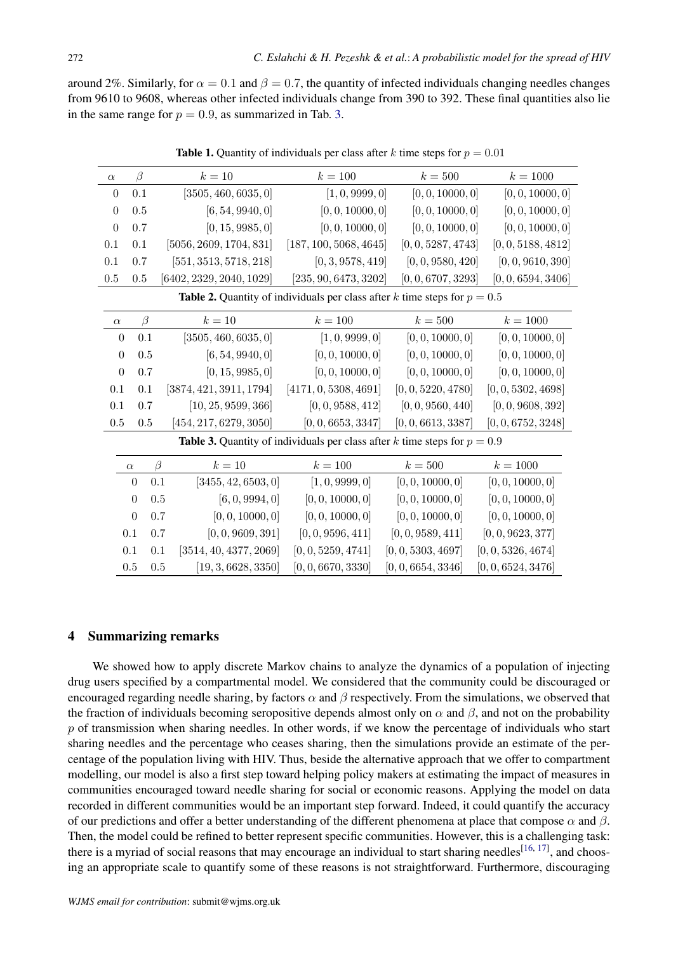around 2%. Similarly, for  $\alpha = 0.1$  and  $\beta = 0.7$ , the quantity of infected individuals changing needles changes from 9610 to 9608, whereas other infected individuals change from 390 to 392. These final quantities also lie in the same range for  $p = 0.9$ , as summarized in Tab. 3.

| $\alpha$                                                                           | $\beta$        | $k=10$                        | $k = 100$              | $k = 500$          | $k = 1000$         |
|------------------------------------------------------------------------------------|----------------|-------------------------------|------------------------|--------------------|--------------------|
| $\boldsymbol{0}$                                                                   | 0.1            | [3505, 460, 6035, 0]          | [1, 0, 9999, 0]        | [0, 0, 10000, 0]   | [0, 0, 10000, 0]   |
| $\boldsymbol{0}$                                                                   | 0.5            | [6, 54, 9940, 0]              | [0, 0, 10000, 0]       | [0, 0, 10000, 0]   | [0, 0, 10000, 0]   |
| $\boldsymbol{0}$                                                                   | 0.7            | [0, 15, 9985, 0]              | [0, 0, 10000, 0]       | [0, 0, 10000, 0]   | [0, 0, 10000, 0]   |
| 0.1                                                                                | $0.1\,$        | [5056, 2609, 1704, 831]       | [187, 100, 5068, 4645] | [0, 0, 5287, 4743] | [0, 0, 5188, 4812] |
| 0.1                                                                                | 0.7            | [551, 3513, 5718, 218]        | [0, 3, 9578, 419]      | [0, 0, 9580, 420]  | [0, 0, 9610, 390]  |
| 0.5                                                                                | $0.5\,$        | [6402, 2329, 2040, 1029]      | [235, 90, 6473, 3202]  | [0, 0, 6707, 3293] | [0, 0, 6594, 3406] |
| <b>Table 2.</b> Quantity of individuals per class after k time steps for $p = 0.5$ |                |                               |                        |                    |                    |
| $\alpha$                                                                           | $\beta$        | $k=10$                        | $k = 100$              | $k=500$            | $k = 1000$         |
| $\boldsymbol{0}$                                                                   | 0.1            | [3505, 460, 6035, 0]          | [1, 0, 9999, 0]        | [0, 0, 10000, 0]   | [0, 0, 10000, 0]   |
| $\boldsymbol{0}$                                                                   | $0.5\,$        | [6, 54, 9940, 0]              | [0, 0, 10000, 0]       | [0, 0, 10000, 0]   | [0, 0, 10000, 0]   |
| $\boldsymbol{0}$                                                                   | 0.7            | [0, 15, 9985, 0]              | [0, 0, 10000, 0]       | [0, 0, 10000, 0]   | [0, 0, 10000, 0]   |
| 0.1                                                                                | 0.1            | [3874, 421, 3911, 1794]       | [4171, 0, 5308, 4691]  | [0, 0, 5220, 4780] | [0, 0, 5302, 4698] |
| 0.1                                                                                | 0.7            | [10, 25, 9599, 366]           | [0, 0, 9588, 412]      | [0, 0, 9560, 440]  | [0, 0, 9608, 392]  |
| $0.5\,$                                                                            | 0.5            | [454, 217, 6279, 3050]        | [0, 0, 6653, 3347]     | [0, 0, 6613, 3387] | [0, 0, 6752, 3248] |
| <b>Table 3.</b> Quantity of individuals per class after k time steps for $p = 0.9$ |                |                               |                        |                    |                    |
|                                                                                    | $\alpha$       | $\beta$<br>$k=10$             | $k = 100$              | $k = 500$          | $k = 1000$         |
|                                                                                    | $\theta$       | [3455, 42, 6503, 0]<br>0.1    | [1, 0, 9999, 0]        | [0, 0, 10000, 0]   | [0, 0, 10000, 0]   |
|                                                                                    | $\theta$       | [6, 0, 9994, 0]<br>0.5        | [0, 0, 10000, 0]       | [0, 0, 10000, 0]   | [0, 0, 10000, 0]   |
|                                                                                    | $\overline{0}$ | [0, 0, 10000, 0]<br>0.7       | [0, 0, 10000, 0]       | [0, 0, 10000, 0]   | [0, 0, 10000, 0]   |
|                                                                                    | 0.1            | [0, 0, 9609, 391]<br>0.7      | [0, 0, 9596, 411]      | [0, 0, 9589, 411]  | [0, 0, 9623, 377]  |
|                                                                                    | 0.1            | [3514, 40, 4377, 2069]<br>0.1 | [0, 0, 5259, 4741]     | [0, 0, 5303, 4697] | [0, 0, 5326, 4674] |
|                                                                                    | 0.5            | [19, 3, 6628, 3350]<br>0.5    | [0, 0, 6670, 3330]     | [0, 0, 6654, 3346] | [0, 0, 6524, 3476] |

**Table 1.** Quantity of individuals per class after k time steps for  $p = 0.01$ 

### 4 Summarizing remarks

We showed how to apply discrete Markov chains to analyze the dynamics of a population of injecting drug users specified by a compartmental model. We considered that the community could be discouraged or encouraged regarding needle sharing, by factors  $\alpha$  and  $\beta$  respectively. From the simulations, we observed that the fraction of individuals becoming seropositive depends almost only on  $\alpha$  and  $\beta$ , and not on the probability  $p$  of transmission when sharing needles. In other words, if we know the percentage of individuals who start sharing needles and the percentage who ceases sharing, then the simulations provide an estimate of the percentage of the population living with HIV. Thus, beside the alternative approach that we offer to compartment modelling, our model is also a first step toward helping policy makers at estimating the impact of measures in communities encouraged toward needle sharing for social or economic reasons. Applying the model on data recorded in different communities would be an important step forward. Indeed, it could quantify the accuracy of our predictions and offer a better understanding of the different phenomena at place that compose  $\alpha$  and  $\beta$ . Then, the model could be refined to better represent specific communities. However, this is a challenging task: there is a myriad of social reasons that may encourage an individual to start sharing needles<sup>[16, 17]</sup>, and choosing an appropriate scale to quantify some of these reasons is not straightforward. Furthermore, discouraging